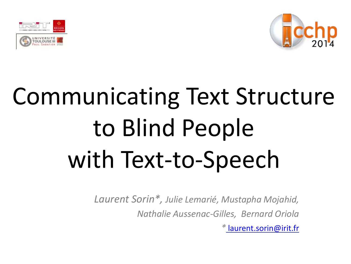



# Communicating Text Structure to Blind People with Text-to-Speech

*Laurent Sorin\*, Julie Lemarié, Mustapha Mojahid, Nathalie Aussenac-Gilles, Bernard Oriola*

*\** [laurent.sorin@irit.fr](mailto:laurent.sorin@irit.fr)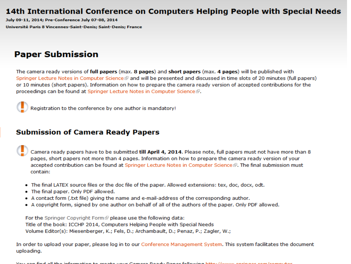#### 14th International Conference on Computers Helping People with Special Needs

July 09-11, 2014; Pre-Conference July 07-08, 2014 Université Paris 8 Vincennes-Saint-Denis; Saint-Denis; France

#### **Paper Submission**

The camera ready versions of full papers (max. 8 pages) and short papers (max. 4 pages) will be published with Springer Lecture Notes in Computer Science and will be presented and discussed in time slots of 20 minutes (full papers) or 10 minutes (short papers). Information on how to prepare the camera ready version of accepted contributions for the proceedings can be found at Springer Lecture Notes in Computer Science  $\mathbb{F}$ .



Registration to the conference by one author is mandatory!

#### **Submission of Camera Ready Papers**

- Camera ready papers have to be submitted till April 4, 2014. Please note, full papers must not have more than 8 pages, short papers not more than 4 pages. Information on how to prepare the camera ready version of your accepted contribution can be found at Springer Lecture Notes in Computer Science ®. The final submission must contain:
- The final LATEX source files or the doc file of the paper. Allowed extensions: tex, doc, docx, odt.
- The final paper. Only PDF allowed.
- A contact form (.txt file) giving the name and e-mail-address of the corresponding author.
- A copyright form, signed by one author on behalf of all of the authors of the paper. Only PDF allowed.

For the Springer Copyright Form P please use the following data: Title of the book: ICCHP 2014, Computers Helping People with Special Needs Volume Editor(s): Miesenberger, K.; Fels, D.; Archambault, D.; Penaz, P.; Zagler, W.;

In order to upload your paper, please log in to our Conference Management System. This system facilitates the document uploading.

Vari and God all the information to coacte risin Camera Dandy Danae following bttp://www.andonese.com/commuter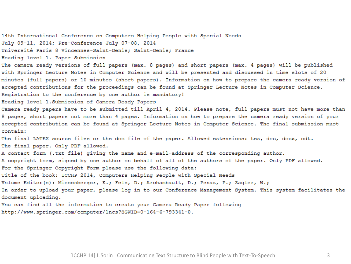14th International Conference on Computers Helping People with Special Needs July 09-11, 2014; Pre-Conference July 07-08, 2014 Université Paris 8 Vincennes-Saint-Denis; Saint-Denis; France Heading level 1. Paper Submission The camera ready versions of full papers (max. 8 pages) and short papers (max. 4 pages) will be published with Springer Lecture Notes in Computer Science and will be presented and discussed in time slots of 20 minutes (full papers) or 10 minutes (short papers). Information on how to prepare the camera ready version of accepted contributions for the proceedings can be found at Springer Lecture Notes in Computer Science. Registration to the conference by one author is mandatory! Heading level 1. Submission of Camera Ready Papers Camera ready papers have to be submitted till April 4, 2014. Please note, full papers must not have more than 8 pages, short papers not more than 4 pages. Information on how to prepare the camera ready version of your accepted contribution can be found at Springer Lecture Notes in Computer Science. The final submission must contain: The final LATEX source files or the doc file of the paper. Allowed extensions: tex, doc, docx, odt. The final paper. Only PDF allowed. A contact form (.txt file) giving the name and e-mail-address of the corresponding author. A copyright form, signed by one author on behalf of all of the authors of the paper. Only PDF allowed. For the Springer Copyright Form please use the following data: Title of the book: ICCHP 2014, Computers Helping People with Special Needs Volume Editor(s): Miesenberger, K.; Fels, D.; Archambault, D.; Penaz, P.; Zagler, W.; In order to upload your paper, please log in to our Conference Management System. This system facilitates the document uploading. You can find all the information to create your Camera Ready Paper following http://www.springer.com/computer/lncs?SGWID=0-164-6-793341-0.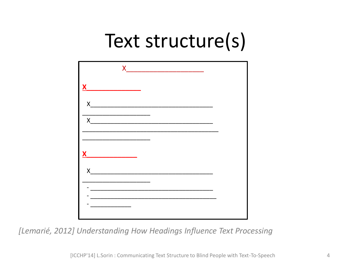### Text structure(s)



[Lemarié, 2012] Understanding How Headings Influence Text Processing

[ICCHP'14] L.Sorin: Communicating Text Structure to Blind People with Text-To-Speech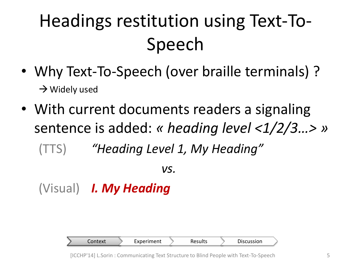# Headings restitution using Text-To-Speech

- Why Text-To-Speech (over braille terminals) ?  $\rightarrow$  Widely used
- With current documents readers a signaling sentence is added: *« heading level <1/2/3…> »* (TTS) *"Heading Level 1, My Heading"*

*vs.*

(Visual) *I. My Heading*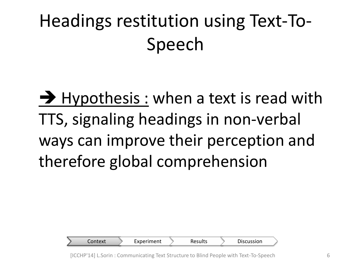# Headings restitution using Text-To-Speech

 $\rightarrow$  Hypothesis : when a text is read with TTS, signaling headings in non-verbal ways can improve their perception and therefore global comprehension

| Context: | Experiment | <b>Results</b> | Discussion |
|----------|------------|----------------|------------|
|          |            |                |            |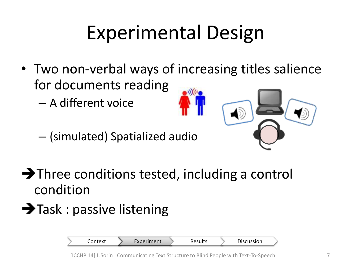# Experimental Design

- Two non-verbal ways of increasing titles salience for documents reading
	- A different voice
	- (simulated) Spatialized audio



- $\rightarrow$  Three conditions tested, including a control condition
- $\rightarrow$  Task : passive listening

Context > Experiment > Results > Discussion

[ICCHP'14] L.Sorin : Communicating Text Structure to Blind People with Text-To-Speech 7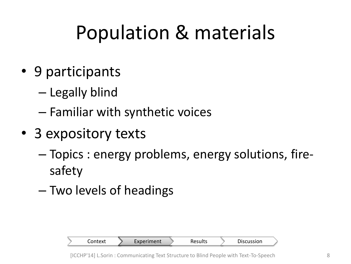# Population & materials

- 9 participants
	- Legally blind
	- Familiar with synthetic voices
- 3 expository texts
	- Topics : energy problems, energy solutions, firesafety
	- Two levels of headings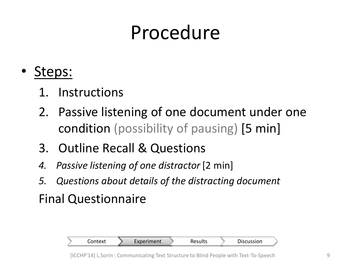### Procedure

- Steps:
	- 1. Instructions
	- 2. Passive listening of one document under one condition (possibility of pausing) [5 min]
	- 3. Outline Recall & Questions
	- *4. Passive listening of one distractor* [2 min]
	- *5. Questions about details of the distracting document*

Final Questionnaire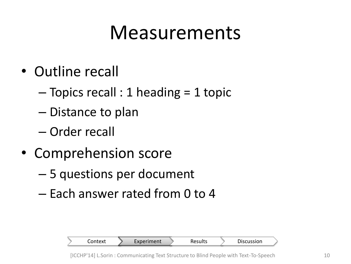### Measurements

- Outline recall
	- $-$  Topics recall : 1 heading = 1 topic
	- Distance to plan
	- Order recall
- Comprehension score
	- 5 questions per document
	- Each answer rated from 0 to 4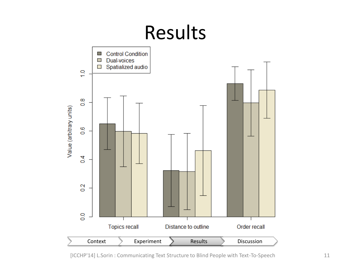

[ICCHP'14] L.Sorin : Communicating Text Structure to Blind People with Text-To-Speech 11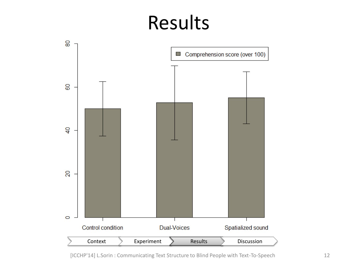### Results



[ICCHP'14] L.Sorin : Communicating Text Structure to Blind People with Text-To-Speech 12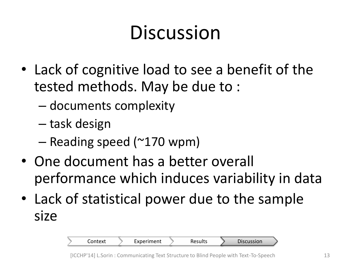# Discussion

- Lack of cognitive load to see a benefit of the tested methods. May be due to :
	- documents complexity
	- task design
	- Reading speed (~170 wpm)
- One document has a better overall performance which induces variability in data
- Lack of statistical power due to the sample size

Context > Experiment > Results > Discussion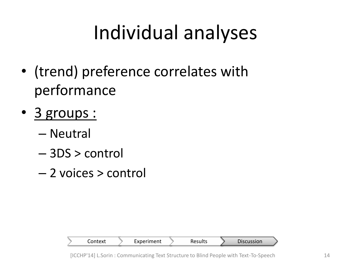# Individual analyses

- (trend) preference correlates with performance
- 3 groups :
	- Neutral
	- 3DS > control
	- 2 voices > control

| Context | Experiment | Results | Discussion |
|---------|------------|---------|------------|
|         |            |         |            |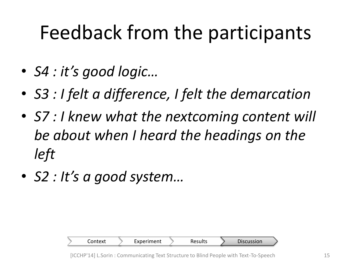## Feedback from the participants

- *S4 : it's good logic…*
- *S3 : I felt a difference, I felt the demarcation*
- *S7 : I knew what the nextcoming content will be about when I heard the headings on the left*
- *S2 : It's a good system…*

| Context | Experiment | Results | Discussion |
|---------|------------|---------|------------|
|         |            |         |            |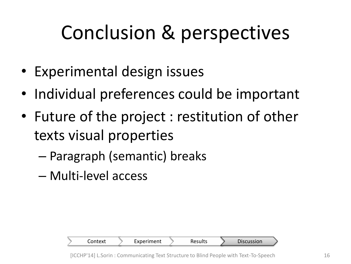# Conclusion & perspectives

- Experimental design issues
- Individual preferences could be important
- Future of the project : restitution of other texts visual properties
	- Paragraph (semantic) breaks
	- Multi-level access